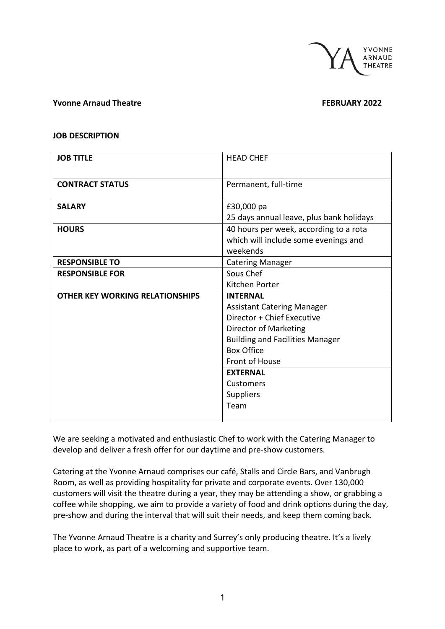

### **Yvonne Arnaud Theatre FEBRUARY 2022**

### **JOB DESCRIPTION**

| <b>JOB TITLE</b>                       | <b>HEAD CHEF</b>                                     |  |
|----------------------------------------|------------------------------------------------------|--|
|                                        |                                                      |  |
| <b>CONTRACT STATUS</b>                 | Permanent, full-time                                 |  |
|                                        |                                                      |  |
| <b>SALARY</b>                          | £30,000 pa                                           |  |
|                                        | 25 days annual leave, plus bank holidays             |  |
| <b>HOURS</b>                           | 40 hours per week, according to a rota               |  |
|                                        | which will include some evenings and                 |  |
|                                        | weekends                                             |  |
| <b>RESPONSIBLE TO</b>                  | <b>Catering Manager</b>                              |  |
| <b>RESPONSIBLE FOR</b>                 | Sous Chef                                            |  |
|                                        | Kitchen Porter                                       |  |
| <b>OTHER KEY WORKING RELATIONSHIPS</b> | <b>INTERNAL</b><br><b>Assistant Catering Manager</b> |  |
|                                        |                                                      |  |
|                                        | Director + Chief Executive                           |  |
|                                        | Director of Marketing                                |  |
|                                        | <b>Building and Facilities Manager</b>               |  |
|                                        | <b>Box Office</b>                                    |  |
|                                        | Front of House                                       |  |
|                                        | <b>EXTERNAL</b>                                      |  |
|                                        | Customers                                            |  |
|                                        | <b>Suppliers</b>                                     |  |
|                                        | Team                                                 |  |
|                                        |                                                      |  |

We are seeking a motivated and enthusiastic Chef to work with the Catering Manager to develop and deliver a fresh offer for our daytime and pre-show customers.

Catering at the Yvonne Arnaud comprises our café, Stalls and Circle Bars, and Vanbrugh Room, as well as providing hospitality for private and corporate events. Over 130,000 customers will visit the theatre during a year, they may be attending a show, or grabbing a coffee while shopping, we aim to provide a variety of food and drink options during the day, pre-show and during the interval that will suit their needs, and keep them coming back.

The Yvonne Arnaud Theatre is a charity and Surrey's only producing theatre. It's a lively place to work, as part of a welcoming and supportive team.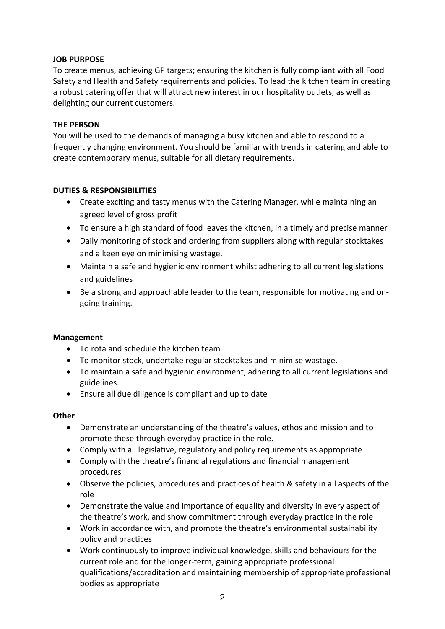# **JOB PURPOSE**

To create menus, achieving GP targets; ensuring the kitchen is fully compliant with all Food Safety and Health and Safety requirements and policies. To lead the kitchen team in creating a robust catering offer that will attract new interest in our hospitality outlets, as well as delighting our current customers.

# **THE PERSON**

You will be used to the demands of managing a busy kitchen and able to respond to a frequently changing environment. You should be familiar with trends in catering and able to create contemporary menus, suitable for all dietary requirements.

# **DUTIES & RESPONSIBILITIES**

- Create exciting and tasty menus with the Catering Manager, while maintaining an agreed level of gross profit
- To ensure a high standard of food leaves the kitchen, in a timely and precise manner
- Daily monitoring of stock and ordering from suppliers along with regular stocktakes and a keen eye on minimising wastage.
- Maintain a safe and hygienic environment whilst adhering to all current legislations and guidelines
- Be a strong and approachable leader to the team, responsible for motivating and ongoing training.

# **Management**

- To rota and schedule the kitchen team
- To monitor stock, undertake regular stocktakes and minimise wastage.
- To maintain a safe and hygienic environment, adhering to all current legislations and guidelines.
- Ensure all due diligence is compliant and up to date

# **Other**

- Demonstrate an understanding of the theatre's values, ethos and mission and to promote these through everyday practice in the role.
- Comply with all legislative, regulatory and policy requirements as appropriate
- Comply with the theatre's financial regulations and financial management procedures
- Observe the policies, procedures and practices of health & safety in all aspects of the role
- Demonstrate the value and importance of equality and diversity in every aspect of the theatre's work, and show commitment through everyday practice in the role
- Work in accordance with, and promote the theatre's environmental sustainability policy and practices
- Work continuously to improve individual knowledge, skills and behaviours for the current role and for the longer-term, gaining appropriate professional qualifications/accreditation and maintaining membership of appropriate professional bodies as appropriate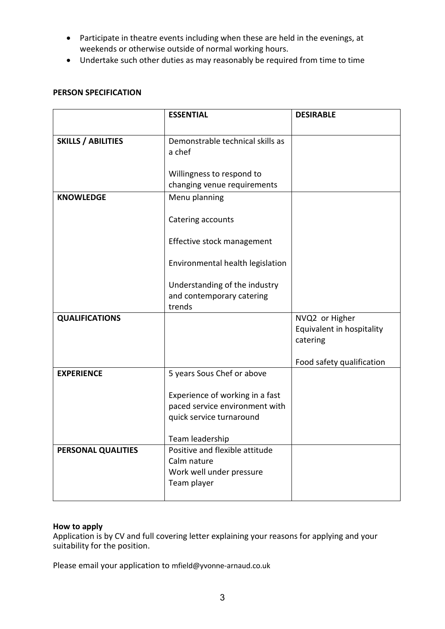- Participate in theatre events including when these are held in the evenings, at weekends or otherwise outside of normal working hours.
- Undertake such other duties as may reasonably be required from time to time

# **PERSON SPECIFICATION**

|                           | <b>ESSENTIAL</b>                 | <b>DESIRABLE</b>          |
|---------------------------|----------------------------------|---------------------------|
|                           |                                  |                           |
| <b>SKILLS / ABILITIES</b> | Demonstrable technical skills as |                           |
|                           | a chef                           |                           |
|                           |                                  |                           |
|                           | Willingness to respond to        |                           |
|                           | changing venue requirements      |                           |
| <b>KNOWLEDGE</b>          | Menu planning                    |                           |
|                           |                                  |                           |
|                           | Catering accounts                |                           |
|                           | Effective stock management       |                           |
|                           |                                  |                           |
|                           | Environmental health legislation |                           |
|                           |                                  |                           |
|                           | Understanding of the industry    |                           |
|                           | and contemporary catering        |                           |
|                           | trends                           |                           |
| <b>QUALIFICATIONS</b>     |                                  | NVQ2 or Higher            |
|                           |                                  | Equivalent in hospitality |
|                           |                                  | catering                  |
|                           |                                  |                           |
| <b>EXPERIENCE</b>         | 5 years Sous Chef or above       | Food safety qualification |
|                           |                                  |                           |
|                           | Experience of working in a fast  |                           |
|                           | paced service environment with   |                           |
|                           | quick service turnaround         |                           |
|                           |                                  |                           |
|                           | Team leadership                  |                           |
| PERSONAL QUALITIES        | Positive and flexible attitude   |                           |
|                           | Calm nature                      |                           |
|                           | Work well under pressure         |                           |
|                           | Team player                      |                           |
|                           |                                  |                           |

# **How to apply**

Application is by CV and full covering letter explaining your reasons for applying and your suitability for the position.

Please email your application to mfield@yvonne-arnaud.co.uk